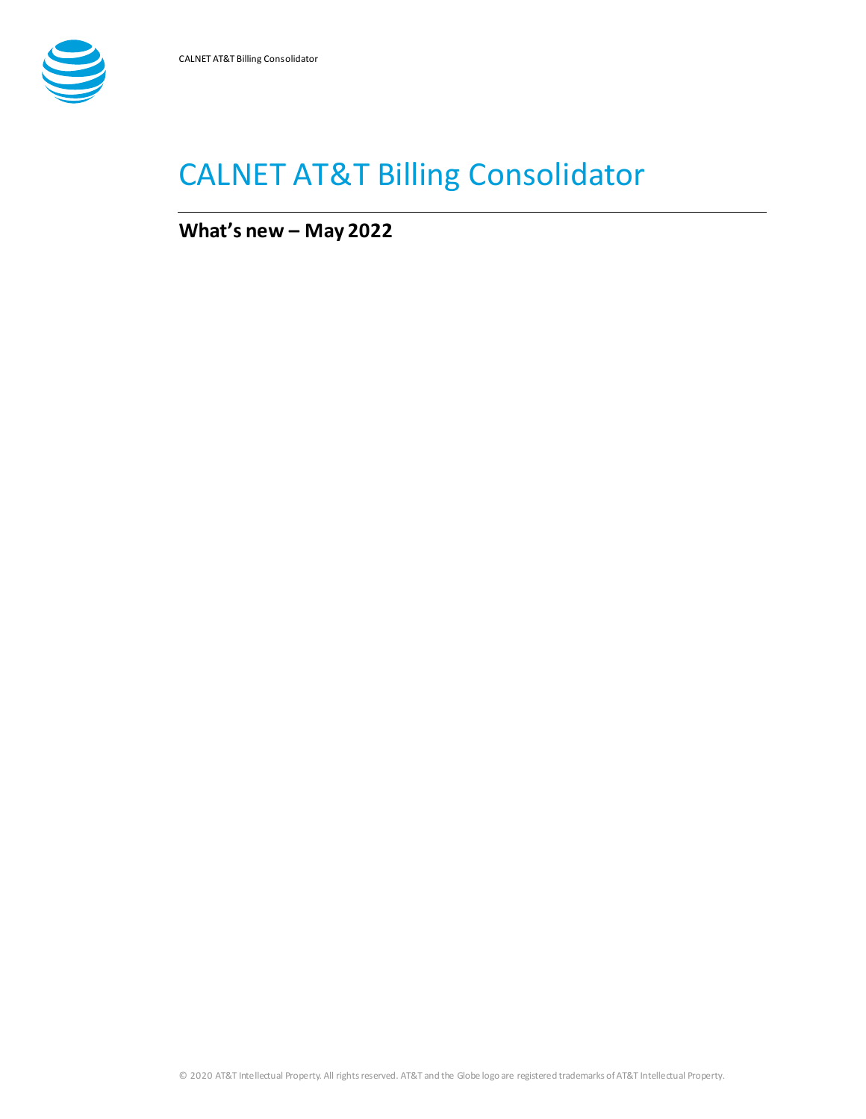

# CALNET AT&T Billing Consolidator

**What's new – May 2022**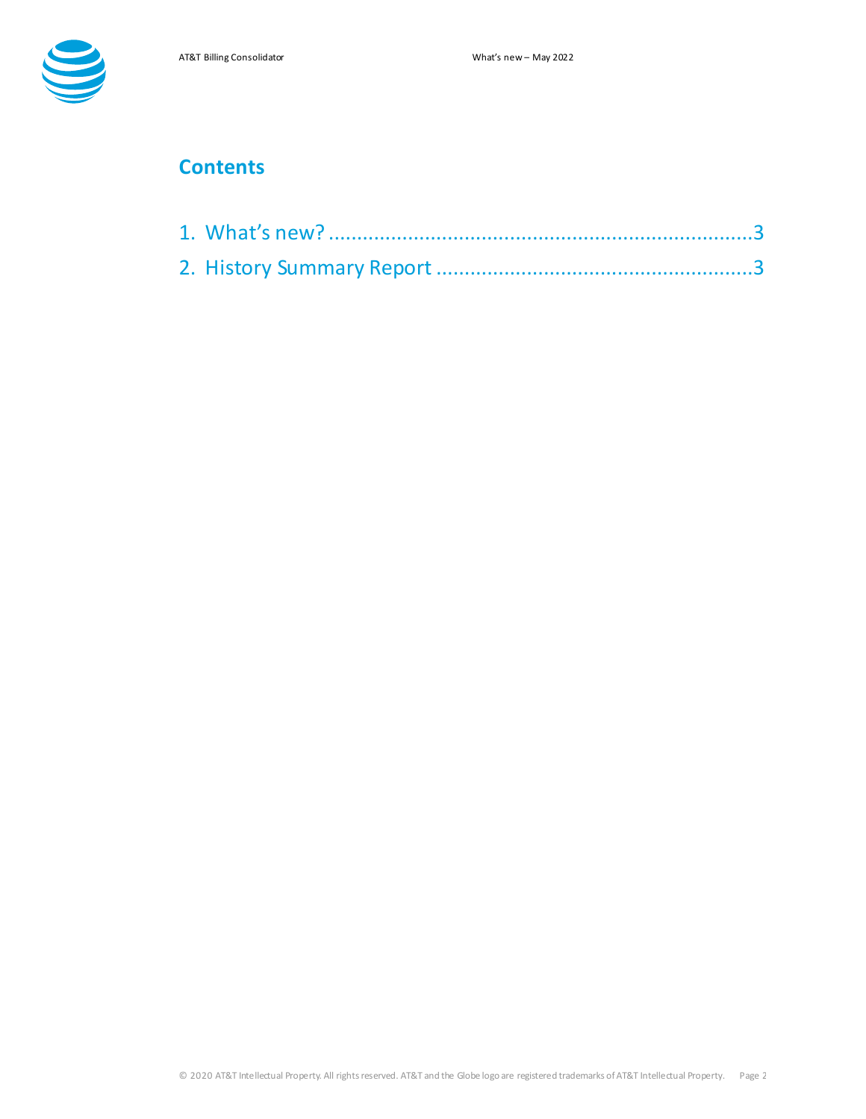

## **Contents**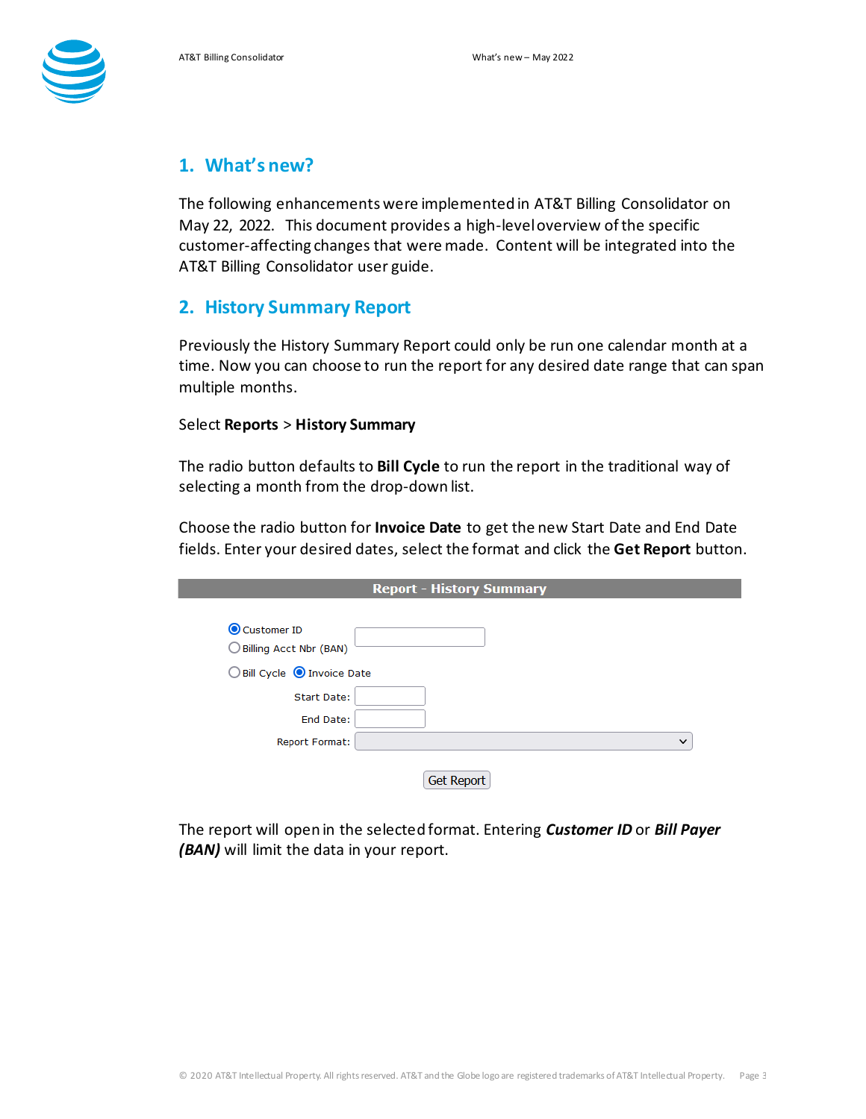

### <span id="page-2-0"></span>**1. What's new?**

The following enhancementswere implemented in AT&T Billing Consolidator on May 22, 2022. This document provides a high-level overview of the specific customer-affecting changes that were made. Content will be integrated into the AT&T Billing Consolidator user guide.

#### <span id="page-2-1"></span>**2. History Summary Report**

Previously the History Summary Report could only be run one calendar month at a time. Now you can choose to run the report for any desired date range that can span multiple months.

#### Select **Reports** > **History Summary**

The radio button defaults to **Bill Cycle** to run the report in the traditional way of selecting a month from the drop-down list.

Choose the radio button for **Invoice Date** to get the new Start Date and End Date fields. Enter your desired dates, select the format and click the **Get Report** button.

| Customer ID<br>Billing Acct Nbr (BAN) |              |
|---------------------------------------|--------------|
| ◯ Bill Cycle ( Invoice Date           |              |
| Start Date:                           |              |
| End Date:                             |              |
| <b>Report Format:</b>                 | $\checkmark$ |

The report will open in the selected format. Entering *Customer ID* or *Bill Payer (BAN)* will limit the data in your report.